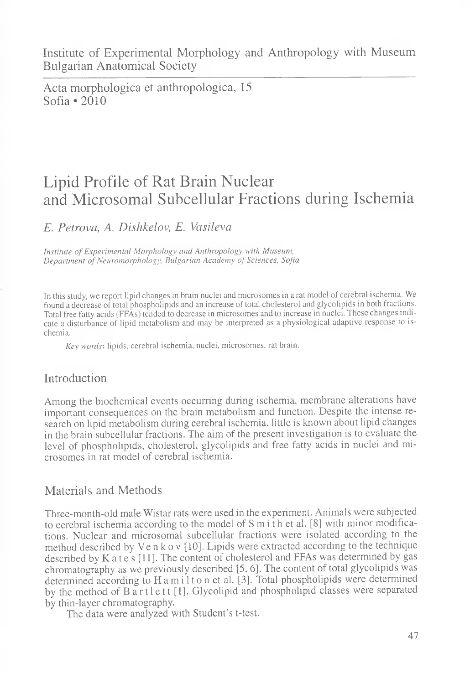Acta morphologica et anthropologica, 15 Sofia  $\cdot$  2010

# Lipid Profile of Rat Brain Nuclear and Microsomal Subcellular Fractions during Ischemia

## *E. Petrova, A. Dishkelov, E. Vasileva*

*Institute of Experimental Morphology and Anthropology with Museum, Department of Neuromorphology, Bulgarian Academy of Sciences, Sofia*

In this study, we report lipid changes in brain nuclei and microsomes in a rat model of cerebral ischemia. We found a decrease of total phospholipids and an increase of total cholesterol and glycolipids in both fractions. Total free fatty acids (FFAs) tended to decrease in microsomes and to increase in nuclei. These changes indicate a disturbance of lipid metabolism and may be interpreted as a physiological adaptive response to ischemia.

*Key words-,* lipids, cerebral ischemia, nuclei, microsomes, rat brain.

### Introduction

Among the biochemical events occurring during ischemia, membrane alterations have important consequences on the brain metabolism and function. Despite the intense research on lipid metabolism during cerebral ischemia, little is known about lipid changes in the brain subcellular fractions. The aim of the present investigation is to evaluate the level of phospholipids, cholesterol, glycolipids and free fatty acids in nuclei and microsomes in rat model of cerebral ischemia.

### Materials and Methods

Three-month-old male Wistar rats were used in the experiment. Animals were subjected to cerebral ischemia according to the model of  $S$  m  $i$  th et al. [8] with minor modifications. Nuclear and microsomal subcellular fractions were isolated according to the method described by V en k o v [10]. Lipids were extracted according to the technique described by K a t e s [11]. The content of cholesterol and FFAs was determined by gas chromatography as we previously described [5, 6]. The content of total glycolipids was determined according to H a m i 1 t o n et al. [3]. Total phospholipids were determined by the method of Bartlett [1]. Glycolipid and phospholipid classes were separated by thin-layer chromatography.

The data were analyzed with Student's t-test.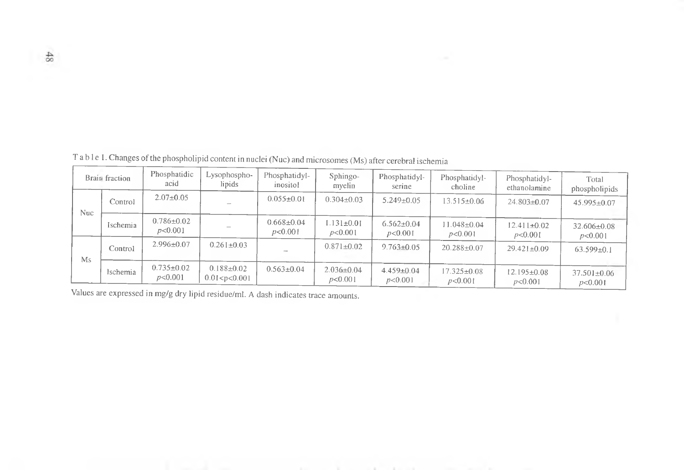| Brain fraction |          | Phosphatidic<br>acid        | Lysophospho-<br>lipids               | Phosphatidyl-<br>inositol   | Sphingo-<br>myelin          | Phosphatidyl-<br>serine     | Phosphatidyl-<br>choline     | Phosphatidyl-<br>ethanolamine | Total<br>phospholipids       |
|----------------|----------|-----------------------------|--------------------------------------|-----------------------------|-----------------------------|-----------------------------|------------------------------|-------------------------------|------------------------------|
| Nuc-           | Control  | $2.07 \pm 0.05$             |                                      | $0.055 \pm 0.01$            | $0.304 \pm 0.03$            | $5.249 + 0.05$              | $13.515 \pm 0.06$            | $24.803 \pm 0.07$             | $45.995 \pm 0.07$            |
|                | Ischemia | $0.786 \pm 0.02$<br>p<0.001 |                                      | $0.668 \pm 0.04$<br>p<0.001 | $1.131 \pm 0.01$<br>p<0.001 | $6.562 \pm 0.04$<br>p<0.001 | $11.048 \pm 0.04$<br>p<0.001 | $12.411 \pm 0.02$<br>p<0.001  | $32.606 \pm 0.08$<br>p<0.001 |
| Ms             | Control  | $2.996 \pm 0.07$            | $0.261 \pm 0.03$                     |                             | $0.871 \pm 0.02$            | $9.763 \pm 0.05$            | $20.288 \pm 0.07$            | $29.421 \pm 0.09$             | $63.599 \pm 0.1$             |
|                | Ischemia | $0.735 \pm 0.02$<br>p<0.001 | $0.188 \pm 0.02$<br>0.01 < p < 0.001 | $0.563 \pm 0.04$            | $2.036 \pm 0.04$<br>p<0.001 | $4.459 \pm 0.04$<br>p<0.001 | $17.325 \pm 0.08$<br>p<0.001 | $12.195 \pm 0.08$<br>p<0.001  | $37.501 \pm 0.06$<br>p<0.001 |

T a b 1 e 1. Changes of the phospholipid content in nuclei (Nuc) and microsomes (Ms) after cerebral ischemia

Values are expressed in mg/g dry lipid residue/ml. A dash indicates trace amounts.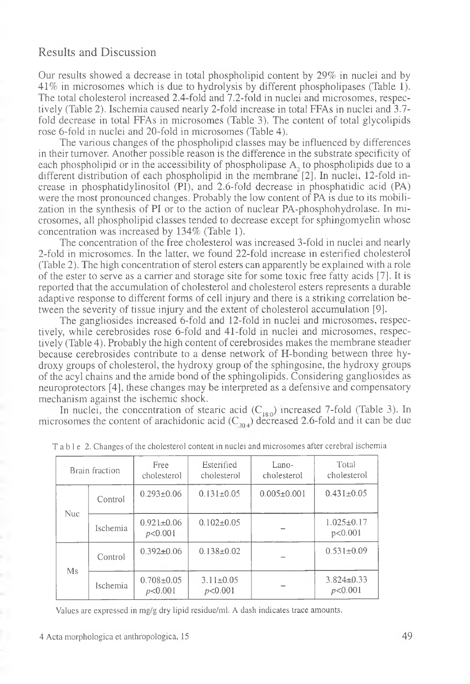#### Results and Discussion

Our results showed a decrease in total phospholipid content by 29% in nuclei and by 41% in microsomes which is due to hydrolysis by different phospholipases (Table 1). The total cholesterol increased 2.4-fold and 7.2-fold in nuclei and microsomes, respectively (Table 2). Ischemia caused nearly 2-fold increase in total FFAs in nuclei and 3.7 fold decrease in total FFAs in microsomes (Table 3). The content of total glycolipids rose 6-fold in nuclei and 20-fold in microsomes (Table 4).

The various changes of the phospholipid classes may be influenced by differences in their turnover. Another possible reason is the difference in the substrate specificity of each phospholipid or in the accessibility of phospholipase A, to phospholipids due to a different distribution of each phospholipid in the membrane [2]. In nuclei, 12-fold increase in phosphatidylinositol (PI), and 2.6-fold decrease in phosphatidic acid (PA) were the most pronounced changes. Probably the low content of PA is due to its mobilization in the synthesis of PI or to the action of nuclear PA-phosphohydrolase. In microsomes, all phospholipid classes tended to decrease except for sphingomyelin whose concentration was increased by 134% (Table 1).

The concentration of the free cholesterol was increased 3-fold in nuclei and nearly 2-fold in microsomes. In the latter, we found 22-fold increase in esterified cholesterol (Table 2). The high concentration of sterol esters can apparently be explained with a role of the ester to serve as a carrier and storage site for some toxic free fatty acids [7]. It is reported that the accumulation of cholesterol and cholesterol esters represents a durable adaptive response to different forms of cell injury and there is a striking correlation between the severity of tissue injury and the extent of cholesterol accumulation [9].

The gangliosides increased 6-fold and 12-fold in nuclei and microsomes, respectively, while cerebrosides rose 6-fold and 41-fold in nuclei and microsomes, respectively (Table 4). Probably the high content of cerebrosides makes the membrane steadier because cerebrosides contribute to a dense network of H-bonding between three hydroxy groups of cholesterol, the hydroxy group of the sphingosine, the hydroxy groups of the acyl chains and the amide bond of the sphingolipids. Considering gangliosides as neuroprotectors [4], these changes may be interpreted as a defensive and compensatory mechanism against the ischemic shock.

In nuclei, the concentration of stearic acid  $(C_{180})$  increased 7-fold (Table 3). In microsomes the content of arachidonic acid ( $C_{\eta_0}$ ) decreased 2.6-fold and it can be due

| Brain fraction |          | Free.<br>cholesterol        | Esterified<br>cholesterol  | Lano-<br>cholesterol | Total<br>cholesterol        |
|----------------|----------|-----------------------------|----------------------------|----------------------|-----------------------------|
|                | Control  | $0.293 \pm 0.06$            | $0.131 \pm 0.05$           | $0.005 \pm 0.001$    | $0.431 \pm 0.05$            |
| <b>Nuc</b>     | Ischemia | $0.921 \pm 0.06$<br>p<0.001 | $0.102 \pm 0.05$           |                      | $1.025 \pm 0.17$<br>p<0.001 |
| Ms             | Control  | $0.392 + 0.06$              | $0.138 \pm 0.02$           |                      | $0.531 \pm 0.09$            |
|                | Ischemia | $0.708 \pm 0.05$<br>p<0.001 | $3.11 \pm 0.05$<br>p<0.001 |                      | $3.824 \pm 0.33$<br>p<0.001 |

| T a b l e 2. Changes of the cholesterol content in nuclei and microsomes after cerebral ischemia |  |  |  |
|--------------------------------------------------------------------------------------------------|--|--|--|
|--------------------------------------------------------------------------------------------------|--|--|--|

Values are expressed in mg/g dry lipid residue/ml. A dash indicates trace amounts.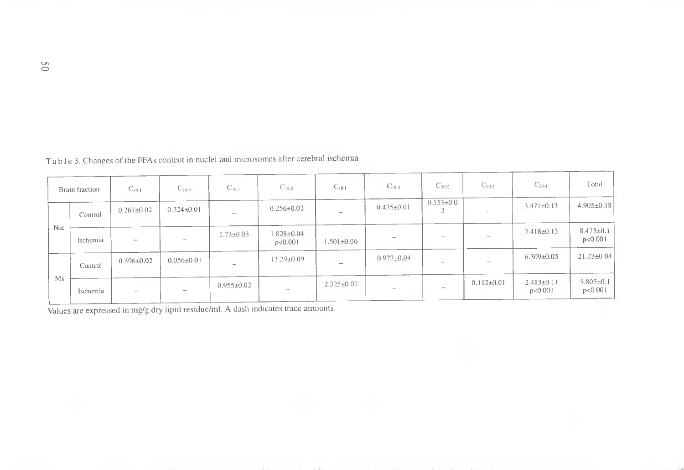|            | Brain fraction | $C_{14:1}$               | $C_{16,0}$               | $C_{16.1}$               | $C_{18:0}$                      | $C_{18:1}$               | $C_{18:2}$                      | $C_{20:0}$      | $C_{20:2}$               | $C_{20:4}$                  | Total                        |
|------------|----------------|--------------------------|--------------------------|--------------------------|---------------------------------|--------------------------|---------------------------------|-----------------|--------------------------|-----------------------------|------------------------------|
| <b>Nuc</b> | Control        | $0.267 \pm 0.02$         | $0.324 + 0.01$           | $\overline{\phantom{a}}$ | $0.256 \pm 0.02$                | $\overline{\phantom{a}}$ | $0.435 \pm 0.01$                | $0.153 \pm 0.0$ | $\overline{\phantom{a}}$ | $3.471 \pm 0.13$            | $4.905 \pm 0.18$             |
|            | Ischemia       | $\overline{\phantom{a}}$ | $\overline{\phantom{a}}$ | $1.73 \pm 0.03$          | $1.828 + 0.04$<br>p<0.001       | $1.501 + 0.06$           | $\sim$                          |                 |                          | $3.418 \pm 0.13$            | $8.473 \pm 0.1$<br>p < 0.001 |
| Ms         | Control        | $0.596 \pm 0.02$         | $0.056 \pm 0.01$         | $\overline{\phantom{a}}$ | 13.29±0.09                      |                          | $0.977 \pm 0.04$                |                 |                          | $6.309 \pm 0.05$            | $21.23 \pm 0.04$             |
|            | Ischemia       | $\sim$                   |                          | $0.955 \pm 0.02$         | $\hspace{0.1mm}-\hspace{0.1mm}$ | $2.325 \pm 0.02$         | $\hspace{0.1mm}-\hspace{0.1mm}$ | -               | $0.112 \pm 0.01$         | $2.413 \pm 0.11$<br>p<0.001 | $5.805 \pm 0.1$<br>p < 0.001 |

Ta b 1 e 3. Changes of the FFAs content in nuclei and microsomes after cerebral ischemia

Values are expressed in mg/g dry lipid residue/ml. A dash indicates trace amounts.